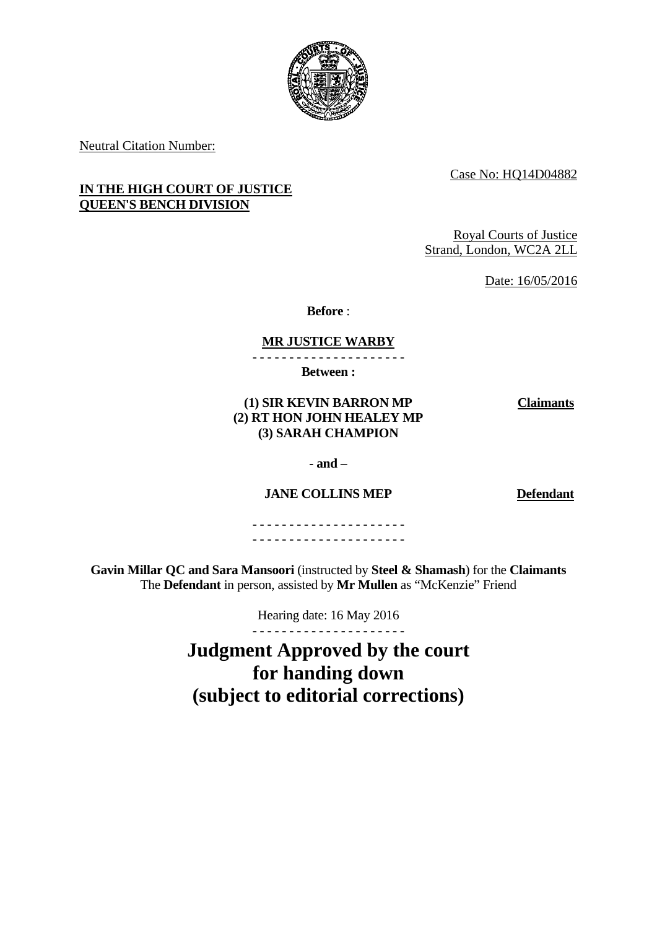

Neutral Citation Number:

Case No: HQ14D04882

# **IN THE HIGH COURT OF JUSTICE QUEEN'S BENCH DIVISION**

Royal Courts of Justice Strand, London, WC2A 2LL

Date: 16/05/2016

**Before** :

# **MR JUSTICE WARBY**

- - - - - - - - - - - - - - - - - - - - -

**Between :** 

### **(1) SIR KEVIN BARRON MP (2) RT HON JOHN HEALEY MP (3) SARAH CHAMPION**

**Claimants**

 **- and –** 

# **JANE COLLINS MEP Defendant**

- - - - - - - - - - - - - - - - - - - - - - - - - - - - - - - - - - - - - - - - - -

**Gavin Millar QC and Sara Mansoori** (instructed by **Steel & Shamash**) for the **Claimants**  The **Defendant** in person, assisted by **Mr Mullen** as "McKenzie" Friend

Hearing date: 16 May 2016

- - - - - - - - - - - - - - - - - - - - - **Judgment Approved by the court** 

**for handing down (subject to editorial corrections)**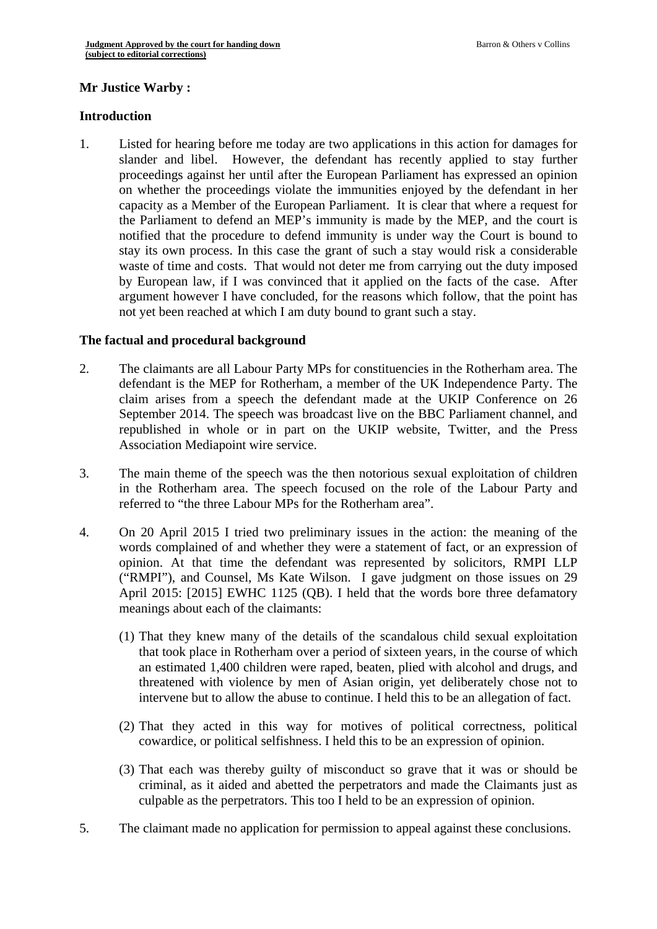# **Mr Justice Warby : Introduction**

1. Listed for hearing before me today are two applications in this action for damages for slander and libel. However, the defendant has recently applied to stay further proceedings against her until after the European Parliament has expressed an opinion on whether the proceedings violate the immunities enjoyed by the defendant in her capacity as a Member of the European Parliament. It is clear that where a request for the Parliament to defend an MEP's immunity is made by the MEP, and the court is notified that the procedure to defend immunity is under way the Court is bound to stay its own process. In this case the grant of such a stay would risk a considerable waste of time and costs. That would not deter me from carrying out the duty imposed by European law, if I was convinced that it applied on the facts of the case. After argument however I have concluded, for the reasons which follow, that the point has not yet been reached at which I am duty bound to grant such a stay.

#### **The factual and procedural background**

- 2. The claimants are all Labour Party MPs for constituencies in the Rotherham area. The defendant is the MEP for Rotherham, a member of the UK Independence Party. The claim arises from a speech the defendant made at the UKIP Conference on 26 September 2014. The speech was broadcast live on the BBC Parliament channel, and republished in whole or in part on the UKIP website, Twitter, and the Press Association Mediapoint wire service.
- 3. The main theme of the speech was the then notorious sexual exploitation of children in the Rotherham area. The speech focused on the role of the Labour Party and referred to "the three Labour MPs for the Rotherham area".
- 4. On 20 April 2015 I tried two preliminary issues in the action: the meaning of the words complained of and whether they were a statement of fact, or an expression of opinion. At that time the defendant was represented by solicitors, RMPI LLP ("RMPI"), and Counsel, Ms Kate Wilson. I gave judgment on those issues on 29 April 2015: [2015] EWHC 1125 (QB). I held that the words bore three defamatory meanings about each of the claimants:
	- (1) That they knew many of the details of the scandalous child sexual exploitation that took place in Rotherham over a period of sixteen years, in the course of which an estimated 1,400 children were raped, beaten, plied with alcohol and drugs, and threatened with violence by men of Asian origin, yet deliberately chose not to intervene but to allow the abuse to continue. I held this to be an allegation of fact.
	- (2) That they acted in this way for motives of political correctness, political cowardice, or political selfishness. I held this to be an expression of opinion.
	- (3) That each was thereby guilty of misconduct so grave that it was or should be criminal, as it aided and abetted the perpetrators and made the Claimants just as culpable as the perpetrators. This too I held to be an expression of opinion.
- 5. The claimant made no application for permission to appeal against these conclusions.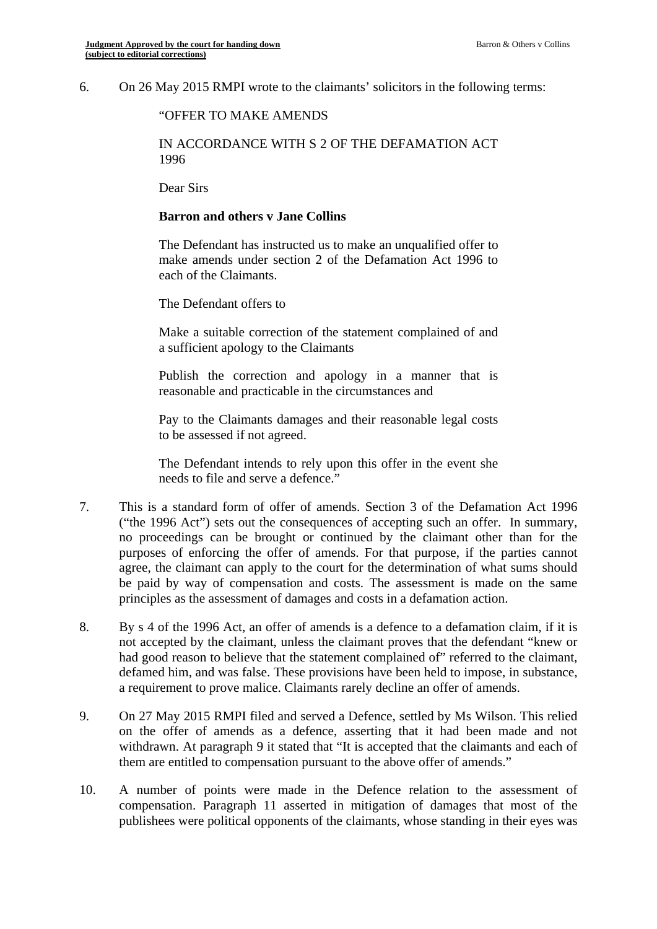6. On 26 May 2015 RMPI wrote to the claimants' solicitors in the following terms:

#### "OFFER TO MAKE AMENDS

#### IN ACCORDANCE WITH S 2 OF THE DEFAMATION ACT 1996

Dear Sirs

#### **Barron and others v Jane Collins**

The Defendant has instructed us to make an unqualified offer to make amends under section 2 of the Defamation Act 1996 to each of the Claimants.

The Defendant offers to

Make a suitable correction of the statement complained of and a sufficient apology to the Claimants

Publish the correction and apology in a manner that is reasonable and practicable in the circumstances and

Pay to the Claimants damages and their reasonable legal costs to be assessed if not agreed.

The Defendant intends to rely upon this offer in the event she needs to file and serve a defence."

- 7. This is a standard form of offer of amends. Section 3 of the Defamation Act 1996 ("the 1996 Act") sets out the consequences of accepting such an offer. In summary, no proceedings can be brought or continued by the claimant other than for the purposes of enforcing the offer of amends. For that purpose, if the parties cannot agree, the claimant can apply to the court for the determination of what sums should be paid by way of compensation and costs. The assessment is made on the same principles as the assessment of damages and costs in a defamation action.
- 8. By s 4 of the 1996 Act, an offer of amends is a defence to a defamation claim, if it is not accepted by the claimant, unless the claimant proves that the defendant "knew or had good reason to believe that the statement complained of" referred to the claimant, defamed him, and was false. These provisions have been held to impose, in substance, a requirement to prove malice. Claimants rarely decline an offer of amends.
- 9. On 27 May 2015 RMPI filed and served a Defence, settled by Ms Wilson. This relied on the offer of amends as a defence, asserting that it had been made and not withdrawn. At paragraph 9 it stated that "It is accepted that the claimants and each of them are entitled to compensation pursuant to the above offer of amends."
- 10. A number of points were made in the Defence relation to the assessment of compensation. Paragraph 11 asserted in mitigation of damages that most of the publishees were political opponents of the claimants, whose standing in their eyes was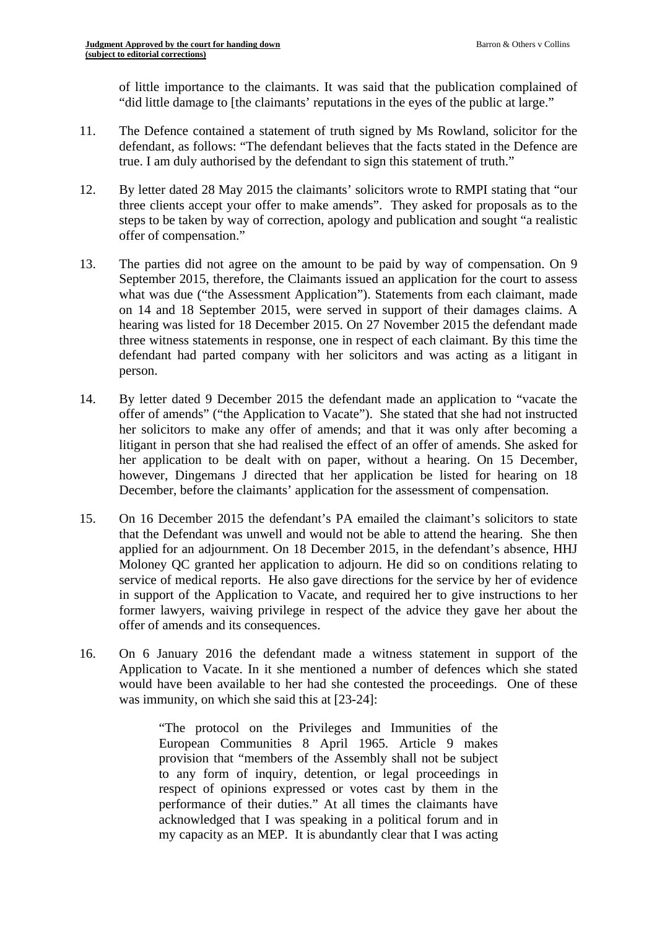of little importance to the claimants. It was said that the publication complained of "did little damage to [the claimants' reputations in the eyes of the public at large."

- 11. The Defence contained a statement of truth signed by Ms Rowland, solicitor for the defendant, as follows: "The defendant believes that the facts stated in the Defence are true. I am duly authorised by the defendant to sign this statement of truth."
- 12. By letter dated 28 May 2015 the claimants' solicitors wrote to RMPI stating that "our three clients accept your offer to make amends". They asked for proposals as to the steps to be taken by way of correction, apology and publication and sought "a realistic offer of compensation."
- 13. The parties did not agree on the amount to be paid by way of compensation. On 9 September 2015, therefore, the Claimants issued an application for the court to assess what was due ("the Assessment Application"). Statements from each claimant, made on 14 and 18 September 2015, were served in support of their damages claims. A hearing was listed for 18 December 2015. On 27 November 2015 the defendant made three witness statements in response, one in respect of each claimant. By this time the defendant had parted company with her solicitors and was acting as a litigant in person.
- 14. By letter dated 9 December 2015 the defendant made an application to "vacate the offer of amends" ("the Application to Vacate"). She stated that she had not instructed her solicitors to make any offer of amends; and that it was only after becoming a litigant in person that she had realised the effect of an offer of amends. She asked for her application to be dealt with on paper, without a hearing. On 15 December, however, Dingemans J directed that her application be listed for hearing on 18 December, before the claimants' application for the assessment of compensation.
- 15. On 16 December 2015 the defendant's PA emailed the claimant's solicitors to state that the Defendant was unwell and would not be able to attend the hearing. She then applied for an adjournment. On 18 December 2015, in the defendant's absence, HHJ Moloney QC granted her application to adjourn. He did so on conditions relating to service of medical reports. He also gave directions for the service by her of evidence in support of the Application to Vacate, and required her to give instructions to her former lawyers, waiving privilege in respect of the advice they gave her about the offer of amends and its consequences.
- 16. On 6 January 2016 the defendant made a witness statement in support of the Application to Vacate. In it she mentioned a number of defences which she stated would have been available to her had she contested the proceedings. One of these was immunity, on which she said this at [23-24]:

"The protocol on the Privileges and Immunities of the European Communities 8 April 1965. Article 9 makes provision that "members of the Assembly shall not be subject to any form of inquiry, detention, or legal proceedings in respect of opinions expressed or votes cast by them in the performance of their duties." At all times the claimants have acknowledged that I was speaking in a political forum and in my capacity as an MEP. It is abundantly clear that I was acting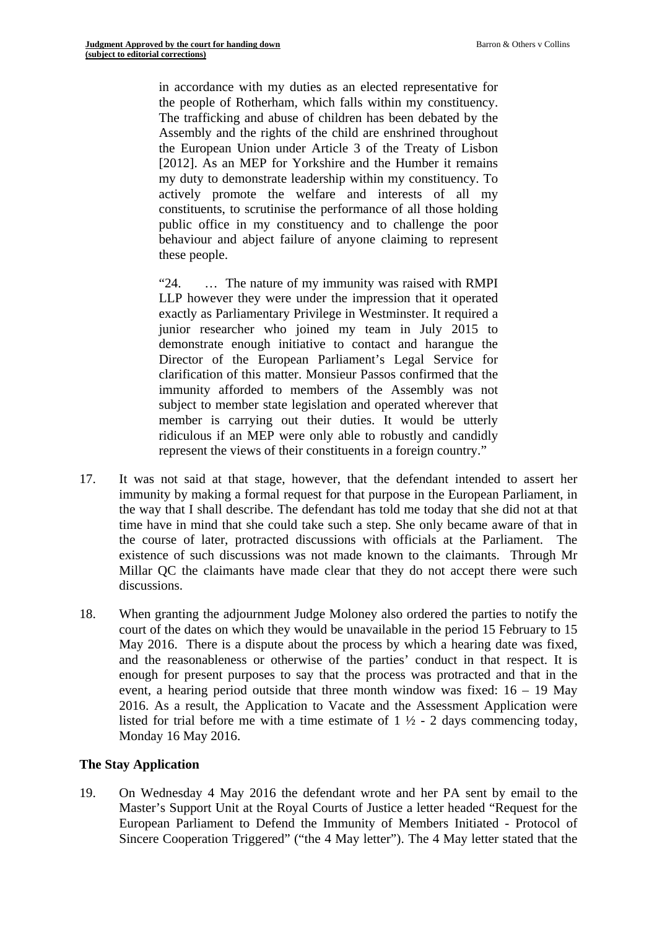in accordance with my duties as an elected representative for the people of Rotherham, which falls within my constituency. The trafficking and abuse of children has been debated by the Assembly and the rights of the child are enshrined throughout the European Union under Article 3 of the Treaty of Lisbon [2012]. As an MEP for Yorkshire and the Humber it remains my duty to demonstrate leadership within my constituency. To actively promote the welfare and interests of all my constituents, to scrutinise the performance of all those holding public office in my constituency and to challenge the poor behaviour and abject failure of anyone claiming to represent these people.

"24. … The nature of my immunity was raised with RMPI LLP however they were under the impression that it operated exactly as Parliamentary Privilege in Westminster. It required a junior researcher who joined my team in July 2015 to demonstrate enough initiative to contact and harangue the Director of the European Parliament's Legal Service for clarification of this matter. Monsieur Passos confirmed that the immunity afforded to members of the Assembly was not subject to member state legislation and operated wherever that member is carrying out their duties. It would be utterly ridiculous if an MEP were only able to robustly and candidly represent the views of their constituents in a foreign country."

- 17. It was not said at that stage, however, that the defendant intended to assert her immunity by making a formal request for that purpose in the European Parliament, in the way that I shall describe. The defendant has told me today that she did not at that time have in mind that she could take such a step. She only became aware of that in the course of later, protracted discussions with officials at the Parliament. The existence of such discussions was not made known to the claimants. Through Mr Millar QC the claimants have made clear that they do not accept there were such discussions.
- 18. When granting the adjournment Judge Moloney also ordered the parties to notify the court of the dates on which they would be unavailable in the period 15 February to 15 May 2016. There is a dispute about the process by which a hearing date was fixed, and the reasonableness or otherwise of the parties' conduct in that respect. It is enough for present purposes to say that the process was protracted and that in the event, a hearing period outside that three month window was fixed: 16 – 19 May 2016. As a result, the Application to Vacate and the Assessment Application were listed for trial before me with a time estimate of  $1 \frac{1}{2}$  - 2 days commencing today, Monday 16 May 2016.

#### **The Stay Application**

19. On Wednesday 4 May 2016 the defendant wrote and her PA sent by email to the Master's Support Unit at the Royal Courts of Justice a letter headed "Request for the European Parliament to Defend the Immunity of Members Initiated - Protocol of Sincere Cooperation Triggered" ("the 4 May letter"). The 4 May letter stated that the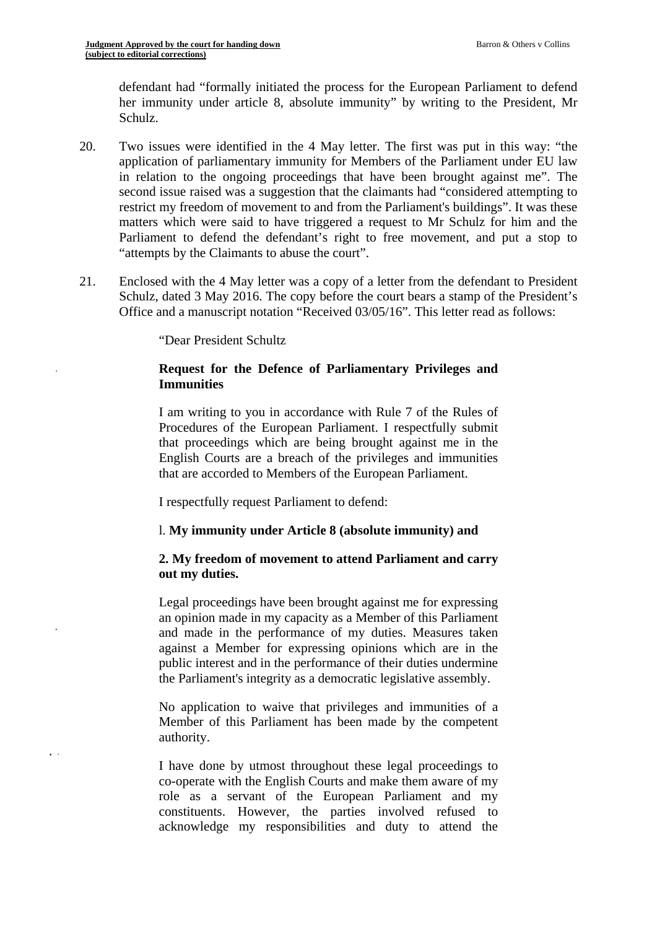defendant had "formally initiated the process for the European Parliament to defend her immunity under article 8, absolute immunity" by writing to the President, Mr Schulz.

- 20. Two issues were identified in the 4 May letter. The first was put in this way: "the application of parliamentary immunity for Members of the Parliament under EU law in relation to the ongoing proceedings that have been brought against me". The second issue raised was a suggestion that the claimants had "considered attempting to restrict my freedom of movement to and from the Parliament's buildings". It was these matters which were said to have triggered a request to Mr Schulz for him and the Parliament to defend the defendant's right to free movement, and put a stop to "attempts by the Claimants to abuse the court".
- 21. Enclosed with the 4 May letter was a copy of a letter from the defendant to President Schulz, dated 3 May 2016. The copy before the court bears a stamp of the President's Office and a manuscript notation "Received 03/05/16". This letter read as follows:

"Dear President Schultz

 $\sim$ 

#### **Request for the Defence of Parliamentary Privileges and Immunities**

I am writing to you in accordance with Rule 7 of the Rules of Procedures of the European Parliament. I respectfully submit that proceedings which are being brought against me in the English Courts are a breach of the privileges and immunities that are accorded to Members of the European Parliament.

I respectfully request Parliament to defend:

#### l. **My immunity under Article 8 (absolute immunity) and**

### **2. My freedom of movement to attend Parliament and carry out my duties.**

Legal proceedings have been brought against me for expressing an opinion made in my capacity as a Member of this Parliament and made in the performance of my duties. Measures taken against a Member for expressing opinions which are in the public interest and in the performance of their duties undermine the Parliament's integrity as a democratic legislative assembly.

No application to waive that privileges and immunities of a Member of this Parliament has been made by the competent authority.

I have done by utmost throughout these legal proceedings to co-operate with the English Courts and make them aware of my role as a servant of the European Parliament and my constituents. However, the parties involved refused to acknowledge my responsibilities and duty to attend the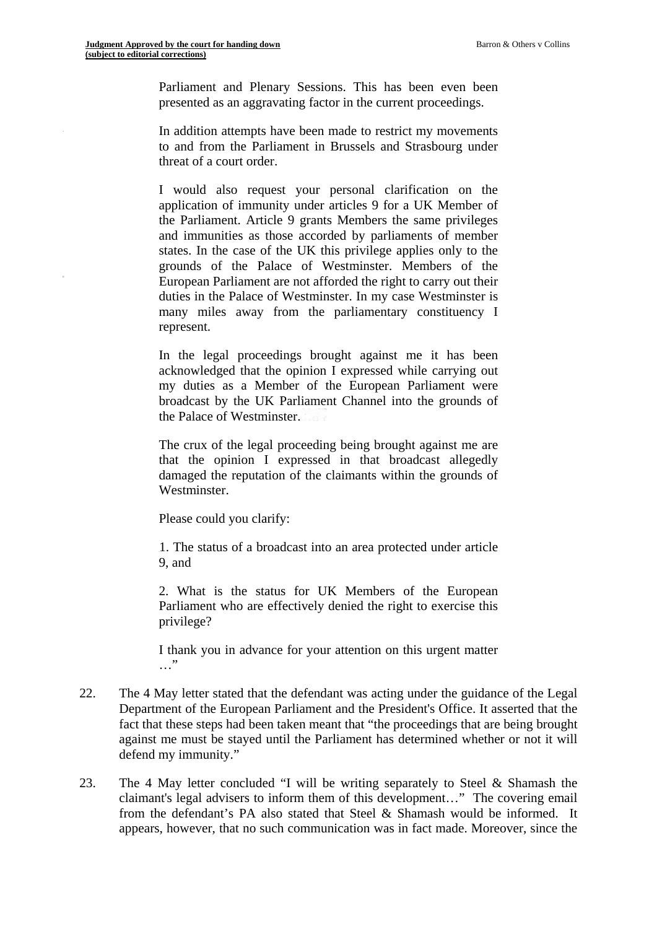Parliament and Plenary Sessions. This has been even been presented as an aggravating factor in the current proceedings.

In addition attempts have been made to restrict my movements to and from the Parliament in Brussels and Strasbourg under threat of a court order.

I would also request your personal clarification on the application of immunity under articles 9 for a UK Member of the Parliament. Article 9 grants Members the same privileges and immunities as those accorded by parliaments of member states. In the case of the UK this privilege applies only to the grounds of the Palace of Westminster. Members of the European Parliament are not afforded the right to carry out their duties in the Palace of Westminster. In my case Westminster is many miles away from the parliamentary constituency I represent.

In the legal proceedings brought against me it has been acknowledged that the opinion I expressed while carrying out my duties as a Member of the European Parliament were broadcast by the UK Parliament Channel into the grounds of the Palace of Westminster.

The crux of the legal proceeding being brought against me are that the opinion I expressed in that broadcast allegedly damaged the reputation of the claimants within the grounds of Westminster.

Please could you clarify:

1. The status of a broadcast into an area protected under article 9, and

2. What is the status for UK Members of the European Parliament who are effectively denied the right to exercise this privilege?

I thank you in advance for your attention on this urgent matter …"

- 22. The 4 May letter stated that the defendant was acting under the guidance of the Legal Department of the European Parliament and the President's Office. It asserted that the fact that these steps had been taken meant that "the proceedings that are being brought against me must be stayed until the Parliament has determined whether or not it will defend my immunity."
- 23. The 4 May letter concluded "I will be writing separately to Steel & Shamash the claimant's legal advisers to inform them of this development…" The covering email from the defendant's PA also stated that Steel & Shamash would be informed. It appears, however, that no such communication was in fact made. Moreover, since the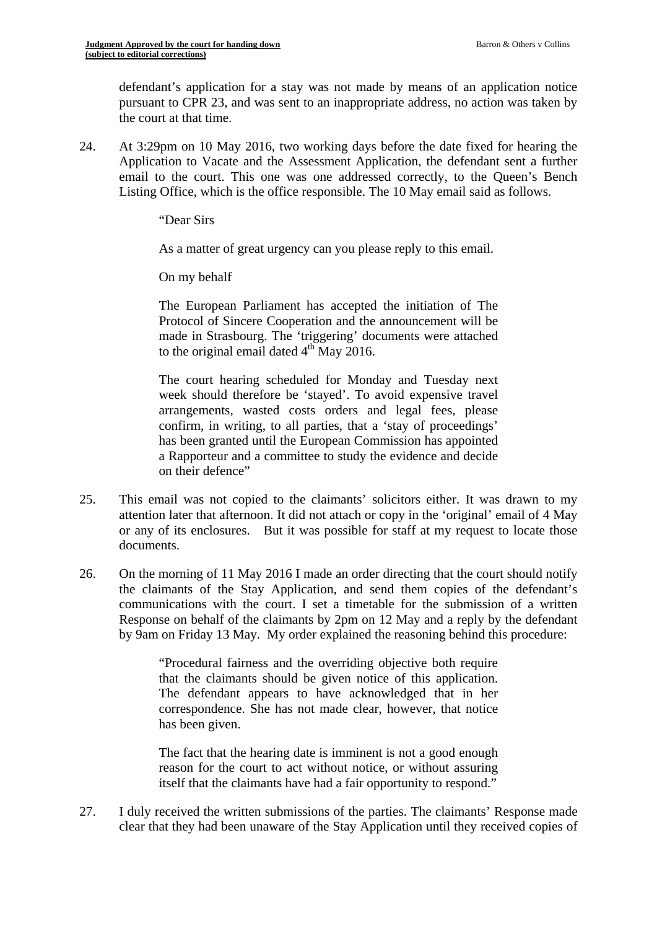defendant's application for a stay was not made by means of an application notice pursuant to CPR 23, and was sent to an inappropriate address, no action was taken by the court at that time.

24. At 3:29pm on 10 May 2016, two working days before the date fixed for hearing the Application to Vacate and the Assessment Application, the defendant sent a further email to the court. This one was one addressed correctly, to the Queen's Bench Listing Office, which is the office responsible. The 10 May email said as follows.

"Dear Sirs

As a matter of great urgency can you please reply to this email.

On my behalf

The European Parliament has accepted the initiation of The Protocol of Sincere Cooperation and the announcement will be made in Strasbourg. The 'triggering' documents were attached to the original email dated  $4<sup>th</sup>$  May 2016.

The court hearing scheduled for Monday and Tuesday next week should therefore be 'stayed'. To avoid expensive travel arrangements, wasted costs orders and legal fees, please confirm, in writing, to all parties, that a 'stay of proceedings' has been granted until the European Commission has appointed a Rapporteur and a committee to study the evidence and decide on their defence"

- 25. This email was not copied to the claimants' solicitors either. It was drawn to my attention later that afternoon. It did not attach or copy in the 'original' email of 4 May or any of its enclosures. But it was possible for staff at my request to locate those documents.
- 26. On the morning of 11 May 2016 I made an order directing that the court should notify the claimants of the Stay Application, and send them copies of the defendant's communications with the court. I set a timetable for the submission of a written Response on behalf of the claimants by 2pm on 12 May and a reply by the defendant by 9am on Friday 13 May. My order explained the reasoning behind this procedure:

"Procedural fairness and the overriding objective both require that the claimants should be given notice of this application. The defendant appears to have acknowledged that in her correspondence. She has not made clear, however, that notice has been given.

The fact that the hearing date is imminent is not a good enough reason for the court to act without notice, or without assuring itself that the claimants have had a fair opportunity to respond."

27. I duly received the written submissions of the parties. The claimants' Response made clear that they had been unaware of the Stay Application until they received copies of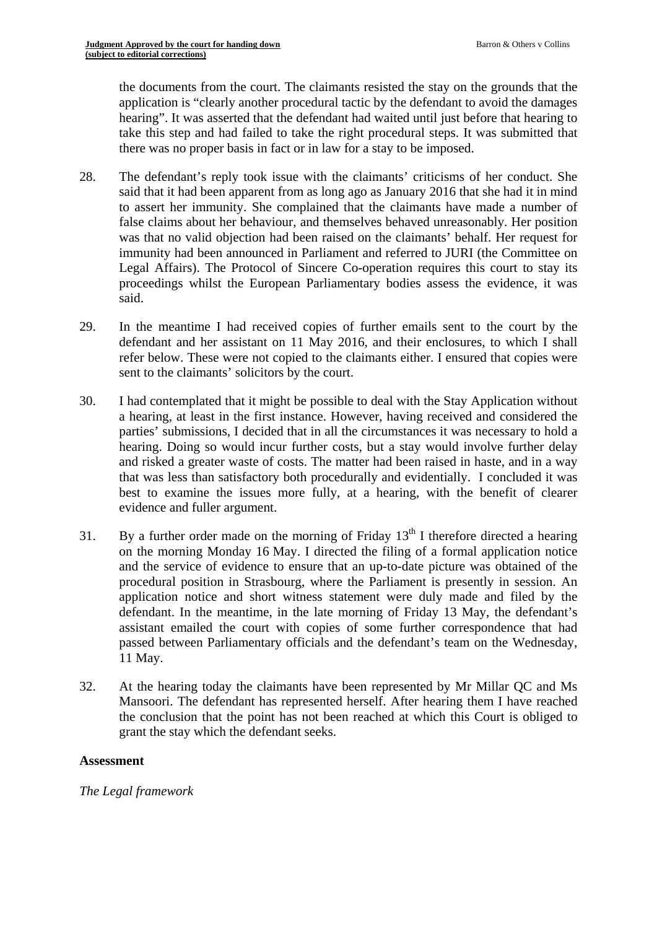the documents from the court. The claimants resisted the stay on the grounds that the application is "clearly another procedural tactic by the defendant to avoid the damages hearing". It was asserted that the defendant had waited until just before that hearing to take this step and had failed to take the right procedural steps. It was submitted that there was no proper basis in fact or in law for a stay to be imposed.

- 28. The defendant's reply took issue with the claimants' criticisms of her conduct. She said that it had been apparent from as long ago as January 2016 that she had it in mind to assert her immunity. She complained that the claimants have made a number of false claims about her behaviour, and themselves behaved unreasonably. Her position was that no valid objection had been raised on the claimants' behalf. Her request for immunity had been announced in Parliament and referred to JURI (the Committee on Legal Affairs). The Protocol of Sincere Co-operation requires this court to stay its proceedings whilst the European Parliamentary bodies assess the evidence, it was said.
- 29. In the meantime I had received copies of further emails sent to the court by the defendant and her assistant on 11 May 2016, and their enclosures, to which I shall refer below. These were not copied to the claimants either. I ensured that copies were sent to the claimants' solicitors by the court.
- 30. I had contemplated that it might be possible to deal with the Stay Application without a hearing, at least in the first instance. However, having received and considered the parties' submissions, I decided that in all the circumstances it was necessary to hold a hearing. Doing so would incur further costs, but a stay would involve further delay and risked a greater waste of costs. The matter had been raised in haste, and in a way that was less than satisfactory both procedurally and evidentially. I concluded it was best to examine the issues more fully, at a hearing, with the benefit of clearer evidence and fuller argument.
- 31. By a further order made on the morning of Friday  $13<sup>th</sup>$  I therefore directed a hearing on the morning Monday 16 May. I directed the filing of a formal application notice and the service of evidence to ensure that an up-to-date picture was obtained of the procedural position in Strasbourg, where the Parliament is presently in session. An application notice and short witness statement were duly made and filed by the defendant. In the meantime, in the late morning of Friday 13 May, the defendant's assistant emailed the court with copies of some further correspondence that had passed between Parliamentary officials and the defendant's team on the Wednesday, 11 May.
- 32. At the hearing today the claimants have been represented by Mr Millar QC and Ms Mansoori. The defendant has represented herself. After hearing them I have reached the conclusion that the point has not been reached at which this Court is obliged to grant the stay which the defendant seeks.

## **Assessment**

*The Legal framework*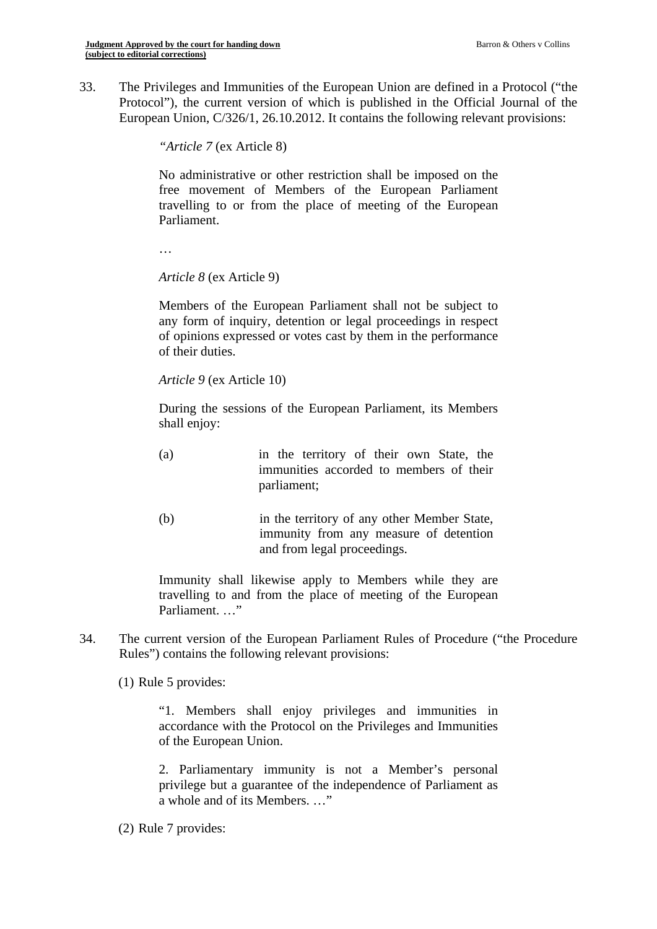33. The Privileges and Immunities of the European Union are defined in a Protocol ("the Protocol"), the current version of which is published in the Official Journal of the European Union, C/326/1, 26.10.2012. It contains the following relevant provisions:

*"Article 7* (ex Article 8)

No administrative or other restriction shall be imposed on the free movement of Members of the European Parliament travelling to or from the place of meeting of the European Parliament.

…

*Article 8* (ex Article 9)

Members of the European Parliament shall not be subject to any form of inquiry, detention or legal proceedings in respect of opinions expressed or votes cast by them in the performance of their duties.

*Article 9* (ex Article 10)

During the sessions of the European Parliament, its Members shall enjoy:

- (a) in the territory of their own State, the immunities accorded to members of their parliament;
- (b) in the territory of any other Member State, immunity from any measure of detention and from legal proceedings.

Immunity shall likewise apply to Members while they are travelling to and from the place of meeting of the European Parliament. …"

34. The current version of the European Parliament Rules of Procedure ("the Procedure Rules") contains the following relevant provisions:

(1) Rule 5 provides:

"1. Members shall enjoy privileges and immunities in accordance with the Protocol on the Privileges and Immunities of the European Union.

2. Parliamentary immunity is not a Member's personal privilege but a guarantee of the independence of Parliament as a whole and of its Members. …"

(2) Rule 7 provides: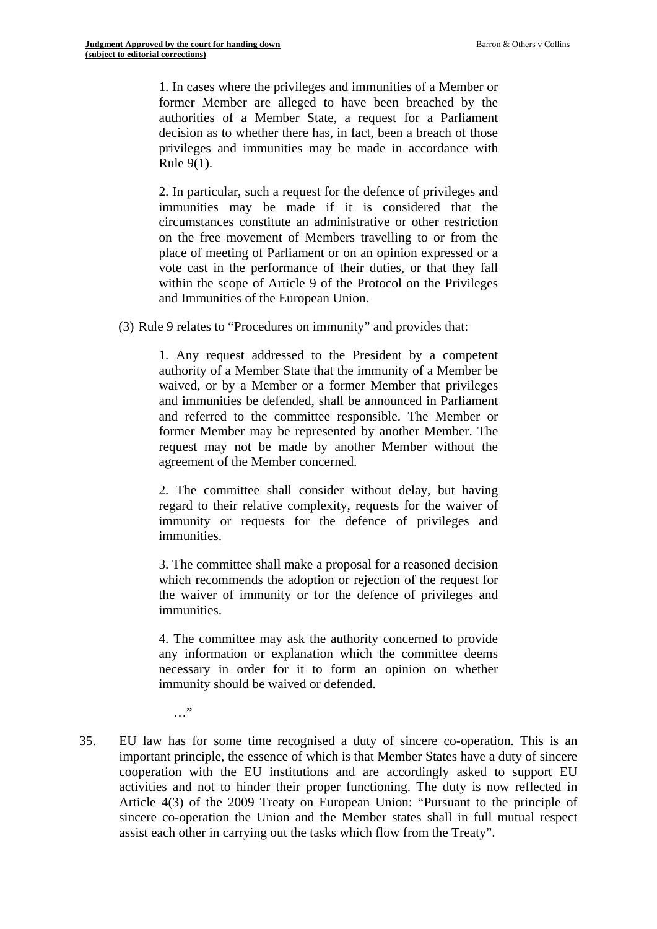1. In cases where the privileges and immunities of a Member or former Member are alleged to have been breached by the authorities of a Member State, a request for a Parliament decision as to whether there has, in fact, been a breach of those privileges and immunities may be made in accordance with Rule 9(1).

2. In particular, such a request for the defence of privileges and immunities may be made if it is considered that the circumstances constitute an administrative or other restriction on the free movement of Members travelling to or from the place of meeting of Parliament or on an opinion expressed or a vote cast in the performance of their duties, or that they fall within the scope of Article 9 of the Protocol on the Privileges and Immunities of the European Union.

(3) Rule 9 relates to "Procedures on immunity" and provides that:

1. Any request addressed to the President by a competent authority of a Member State that the immunity of a Member be waived, or by a Member or a former Member that privileges and immunities be defended, shall be announced in Parliament and referred to the committee responsible. The Member or former Member may be represented by another Member. The request may not be made by another Member without the agreement of the Member concerned.

2. The committee shall consider without delay, but having regard to their relative complexity, requests for the waiver of immunity or requests for the defence of privileges and immunities.

3. The committee shall make a proposal for a reasoned decision which recommends the adoption or rejection of the request for the waiver of immunity or for the defence of privileges and immunities.

4. The committee may ask the authority concerned to provide any information or explanation which the committee deems necessary in order for it to form an opinion on whether immunity should be waived or defended.

…"

35. EU law has for some time recognised a duty of sincere co-operation. This is an important principle, the essence of which is that Member States have a duty of sincere cooperation with the EU institutions and are accordingly asked to support EU activities and not to hinder their proper functioning. The duty is now reflected in Article 4(3) of the 2009 Treaty on European Union: "Pursuant to the principle of sincere co-operation the Union and the Member states shall in full mutual respect assist each other in carrying out the tasks which flow from the Treaty".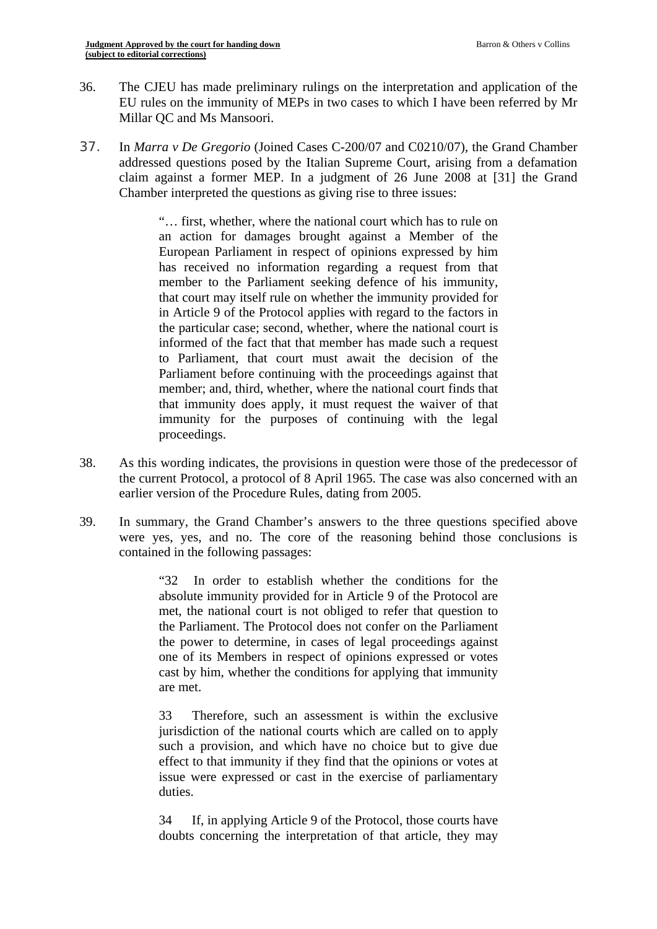- 36. The CJEU has made preliminary rulings on the interpretation and application of the EU rules on the immunity of MEPs in two cases to which I have been referred by Mr Millar QC and Ms Mansoori.
- 37. In *Marra v De Gregorio* (Joined Cases C-200/07 and C0210/07), the Grand Chamber addressed questions posed by the Italian Supreme Court, arising from a defamation claim against a former MEP. In a judgment of 26 June 2008 at [31] the Grand Chamber interpreted the questions as giving rise to three issues:

proceedings. "… first, whether, where the national court which has to rule on an action for damages brought against a Member of the European Parliament in respect of opinions expressed by him has received no information regarding a request from that member to the Parliament seeking defence of his immunity, that court may itself rule on whether the immunity provided for in Article 9 of the Protocol applies with regard to the factors in the particular case; second, whether, where the national court is informed of the fact that that member has made such a request to Parliament, that court must await the decision of the Parliament before continuing with the proceedings against that member; and, third, whether, where the national court finds that that immunity does apply, it must request the waiver of that immunity for the purposes of continuing with the legal

- 38. As this wording indicates, the provisions in question were those of the predecessor of the current Protocol, a protocol of 8 April 1965. The case was also concerned with an earlier version of the Procedure Rules, dating from 2005.
- 39. In summary, the Grand Chamber's answers to the three questions specified above were yes, yes, and no. The core of the reasoning behind those conclusions is contained in the following passages:

"32 In order to establish whether the conditions for the absolute immunity provided for in Article 9 of the Protocol are met, the national court is not obliged to refer that question to the Parliament. The Protocol does not confer on the Parliament the power to determine, in cases of legal proceedings against one of its Members in respect of opinions expressed or votes cast by him, whether the conditions for applying that immunity are met.

 33 Therefore, such an assessment is within the exclusive jurisdiction of the national courts which are called on to apply such a provision, and which have no choice but to give due effect to that immunity if they find that the opinions or votes at issue were expressed or cast in the exercise of parliamentary duties.

34 If, in applying Article 9 of the Protocol, those courts have doubts concerning the interpretation of that article, they may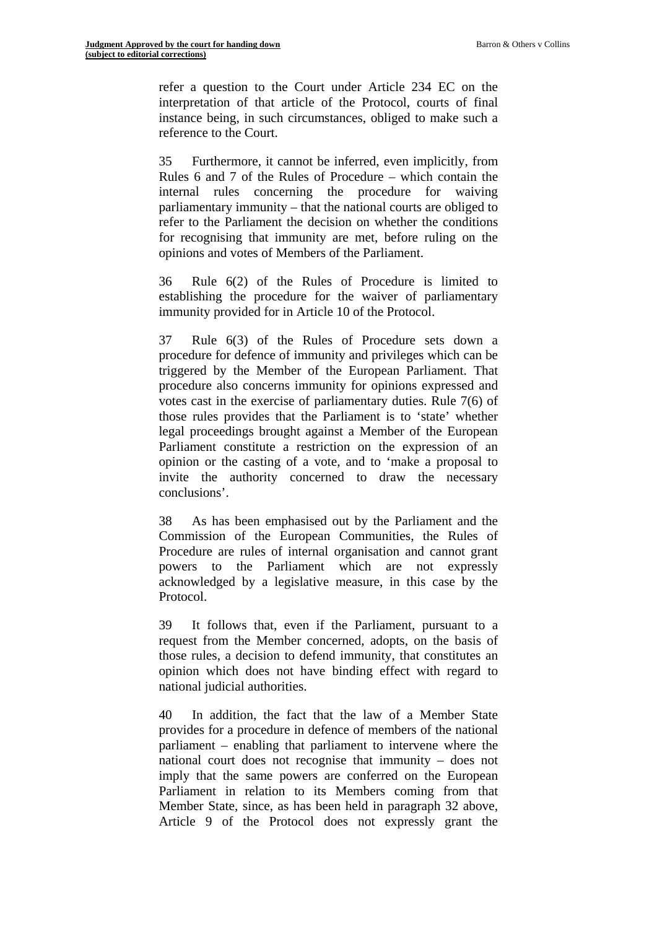refer a question to the Court under Article 234 EC on the interpretation of that article of the Protocol, courts of final instance being, in such circumstances, obliged to make such a reference to the Court.

35 Furthermore, it cannot be inferred, even implicitly, from Rules 6 and 7 of the Rules of Procedure – which contain the internal rules concerning the procedure for waiving parliamentary immunity – that the national courts are obliged to refer to the Parliament the decision on whether the conditions for recognising that immunity are met, before ruling on the opinions and votes of Members of the Parliament.

36 Rule 6(2) of the Rules of Procedure is limited to establishing the procedure for the waiver of parliamentary immunity provided for in Article 10 of the Protocol.

37 Rule 6(3) of the Rules of Procedure sets down a procedure for defence of immunity and privileges which can be triggered by the Member of the European Parliament. That procedure also concerns immunity for opinions expressed and votes cast in the exercise of parliamentary duties. Rule 7(6) of those rules provides that the Parliament is to 'state' whether legal proceedings brought against a Member of the European Parliament constitute a restriction on the expression of an opinion or the casting of a vote, and to 'make a proposal to invite the authority concerned to draw the necessary conclusions'.

38 As has been emphasised out by the Parliament and the Commission of the European Communities, the Rules of Procedure are rules of internal organisation and cannot grant powers to the Parliament which are not expressly acknowledged by a legislative measure, in this case by the Protocol.

39 It follows that, even if the Parliament, pursuant to a request from the Member concerned, adopts, on the basis of those rules, a decision to defend immunity, that constitutes an opinion which does not have binding effect with regard to national judicial authorities.

40 In addition, the fact that the law of a Member State provides for a procedure in defence of members of the national parliament – enabling that parliament to intervene where the national court does not recognise that immunity – does not imply that the same powers are conferred on the European Parliament in relation to its Members coming from that Member State, since, as has been held in paragraph 32 above, Article 9 of the Protocol does not expressly grant the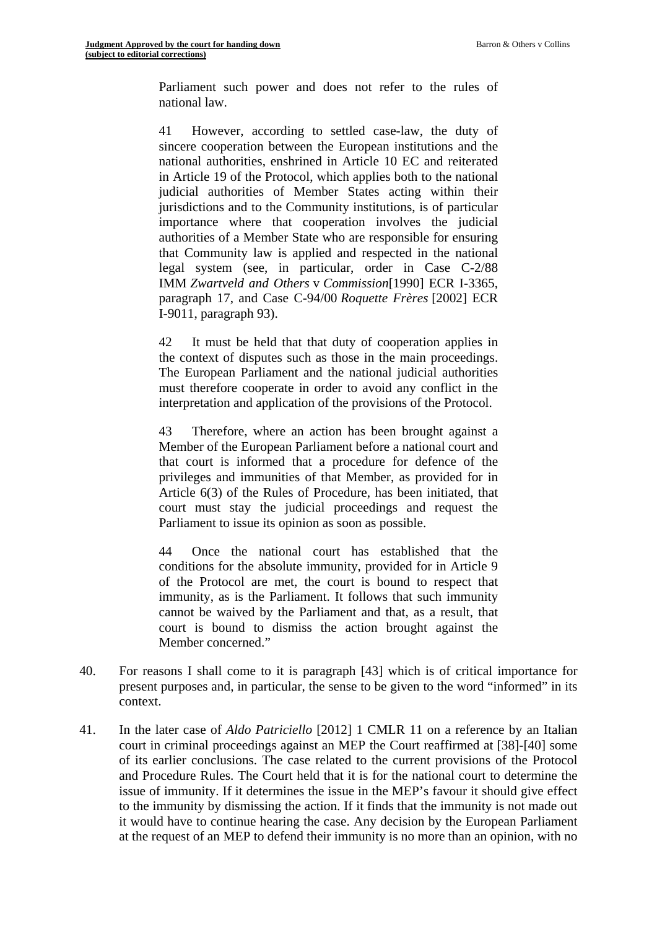Parliament such power and does not refer to the rules of national law.

41 However, according to settled case-law, the duty of sincere cooperation between the European institutions and the national authorities, enshrined in Article 10 EC and reiterated in Article 19 of the Protocol, which applies both to the national judicial authorities of Member States acting within their jurisdictions and to the Community institutions, is of particular importance where that cooperation involves the judicial authorities of a Member State who are responsible for ensuring that Community law is applied and respected in the national legal system (see, in particular, order in Case C-2/88 IMM *Zwartveld and Others* v *Commission*[1990] ECR I-3365, paragraph 17, and Case C-94/00 *Roquette Frères* [2002] ECR I-9011, paragraph 93).

42 It must be held that that duty of cooperation applies in the context of disputes such as those in the main proceedings. The European Parliament and the national judicial authorities must therefore cooperate in order to avoid any conflict in the interpretation and application of the provisions of the Protocol.

43 Therefore, where an action has been brought against a Member of the European Parliament before a national court and that court is informed that a procedure for defence of the privileges and immunities of that Member, as provided for in Article 6(3) of the Rules of Procedure, has been initiated, that court must stay the judicial proceedings and request the Parliament to issue its opinion as soon as possible.

44 Once the national court has established that the conditions for the absolute immunity, provided for in Article 9 of the Protocol are met, the court is bound to respect that immunity, as is the Parliament. It follows that such immunity cannot be waived by the Parliament and that, as a result, that court is bound to dismiss the action brought against the Member concerned."

- 40. For reasons I shall come to it is paragraph [43] which is of critical importance for present purposes and, in particular, the sense to be given to the word "informed" in its context.
- 41. In the later case of *Aldo Patriciello* [2012] 1 CMLR 11 on a reference by an Italian court in criminal proceedings against an MEP the Court reaffirmed at [38]-[40] some of its earlier conclusions. The case related to the current provisions of the Protocol and Procedure Rules. The Court held that it is for the national court to determine the issue of immunity. If it determines the issue in the MEP's favour it should give effect to the immunity by dismissing the action. If it finds that the immunity is not made out it would have to continue hearing the case. Any decision by the European Parliament at the request of an MEP to defend their immunity is no more than an opinion, with no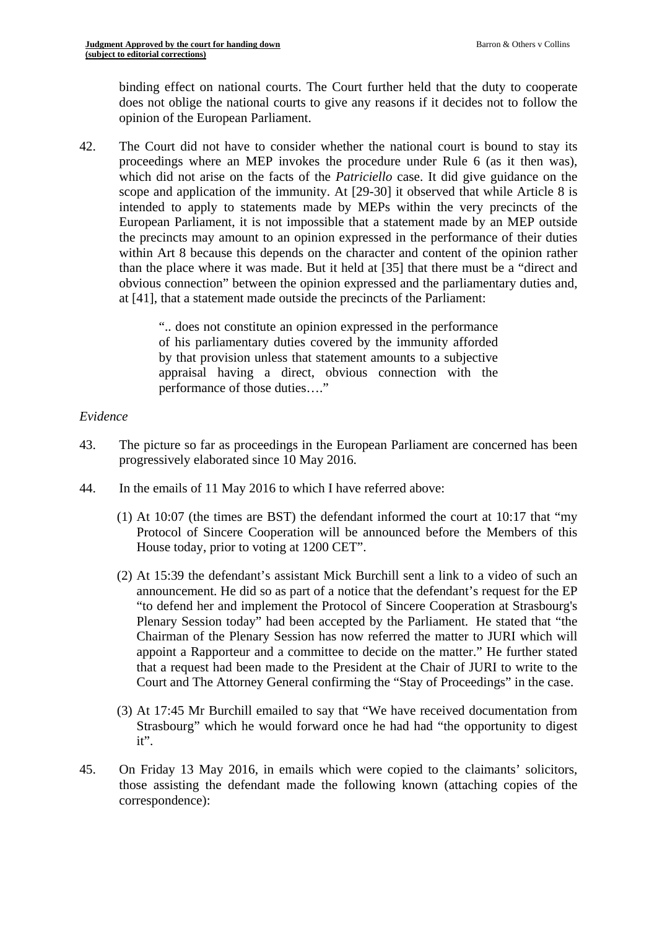binding effect on national courts. The Court further held that the duty to cooperate does not oblige the national courts to give any reasons if it decides not to follow the opinion of the European Parliament.

42. The Court did not have to consider whether the national court is bound to stay its proceedings where an MEP invokes the procedure under Rule 6 (as it then was), which did not arise on the facts of the *Patriciello* case. It did give guidance on the scope and application of the immunity. At [29-30] it observed that while Article 8 is intended to apply to statements made by MEPs within the very precincts of the European Parliament, it is not impossible that a statement made by an MEP outside the precincts may amount to an opinion expressed in the performance of their duties within Art 8 because this depends on the character and content of the opinion rather than the place where it was made. But it held at [35] that there must be a "direct and obvious connection" between the opinion expressed and the parliamentary duties and, at [41], that a statement made outside the precincts of the Parliament:

> ".. does not constitute an opinion expressed in the performance of his parliamentary duties covered by the immunity afforded by that provision unless that statement amounts to a subjective appraisal having a direct, obvious connection with the performance of those duties…."

### *Evidence*

- 43. The picture so far as proceedings in the European Parliament are concerned has been progressively elaborated since 10 May 2016.
- 44. In the emails of 11 May 2016 to which I have referred above:
	- (1) At 10:07 (the times are BST) the defendant informed the court at 10:17 that "my Protocol of Sincere Cooperation will be announced before the Members of this House today, prior to voting at 1200 CET".
	- (2) At 15:39 the defendant's assistant Mick Burchill sent a link to a video of such an announcement. He did so as part of a notice that the defendant's request for the EP "to defend her and implement the Protocol of Sincere Cooperation at Strasbourg's Plenary Session today" had been accepted by the Parliament. He stated that "the Chairman of the Plenary Session has now referred the matter to JURI which will appoint a Rapporteur and a committee to decide on the matter." He further stated that a request had been made to the President at the Chair of JURI to write to the Court and The Attorney General confirming the "Stay of Proceedings" in the case.
	- (3) At 17:45 Mr Burchill emailed to say that "We have received documentation from Strasbourg" which he would forward once he had had "the opportunity to digest it".
- 45. On Friday 13 May 2016, in emails which were copied to the claimants' solicitors, those assisting the defendant made the following known (attaching copies of the correspondence):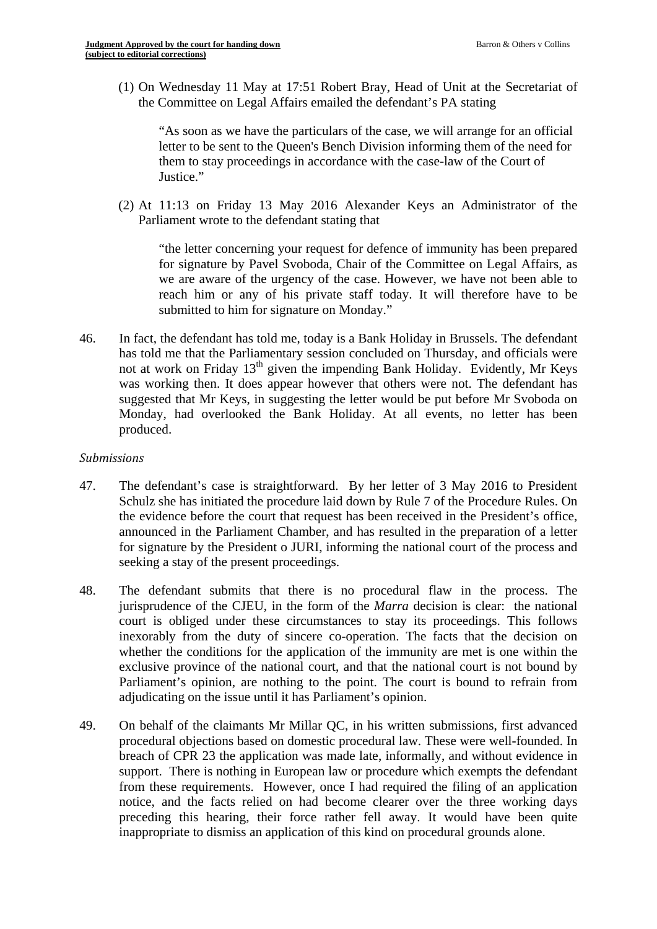(1) On Wednesday 11 May at 17:51 Robert Bray, Head of Unit at the Secretariat of the Committee on Legal Affairs emailed the defendant's PA stating

"As soon as we have the particulars of the case, we will arrange for an official letter to be sent to the Queen's Bench Division informing them of the need for them to stay proceedings in accordance with the case-law of the Court of Justice."

(2) At 11:13 on Friday 13 May 2016 Alexander Keys an Administrator of the Parliament wrote to the defendant stating that

"the letter concerning your request for defence of immunity has been prepared for signature by Pavel Svoboda, Chair of the Committee on Legal Affairs, as we are aware of the urgency of the case. However, we have not been able to reach him or any of his private staff today. It will therefore have to be submitted to him for signature on Monday."

46. In fact, the defendant has told me, today is a Bank Holiday in Brussels. The defendant has told me that the Parliamentary session concluded on Thursday, and officials were not at work on Friday  $13<sup>th</sup>$  given the impending Bank Holiday. Evidently, Mr Keys was working then. It does appear however that others were not. The defendant has suggested that Mr Keys, in suggesting the letter would be put before Mr Svoboda on Monday, had overlooked the Bank Holiday. At all events, no letter has been produced.

#### *Submissions*

- 47. The defendant's case is straightforward. By her letter of 3 May 2016 to President Schulz she has initiated the procedure laid down by Rule 7 of the Procedure Rules. On the evidence before the court that request has been received in the President's office, announced in the Parliament Chamber, and has resulted in the preparation of a letter for signature by the President o JURI, informing the national court of the process and seeking a stay of the present proceedings.
- 48. The defendant submits that there is no procedural flaw in the process. The jurisprudence of the CJEU, in the form of the *Marra* decision is clear: the national court is obliged under these circumstances to stay its proceedings. This follows inexorably from the duty of sincere co-operation. The facts that the decision on whether the conditions for the application of the immunity are met is one within the exclusive province of the national court, and that the national court is not bound by Parliament's opinion, are nothing to the point. The court is bound to refrain from adjudicating on the issue until it has Parliament's opinion.
- 49. On behalf of the claimants Mr Millar QC, in his written submissions, first advanced procedural objections based on domestic procedural law. These were well-founded. In breach of CPR 23 the application was made late, informally, and without evidence in support. There is nothing in European law or procedure which exempts the defendant from these requirements. However, once I had required the filing of an application notice, and the facts relied on had become clearer over the three working days preceding this hearing, their force rather fell away. It would have been quite inappropriate to dismiss an application of this kind on procedural grounds alone.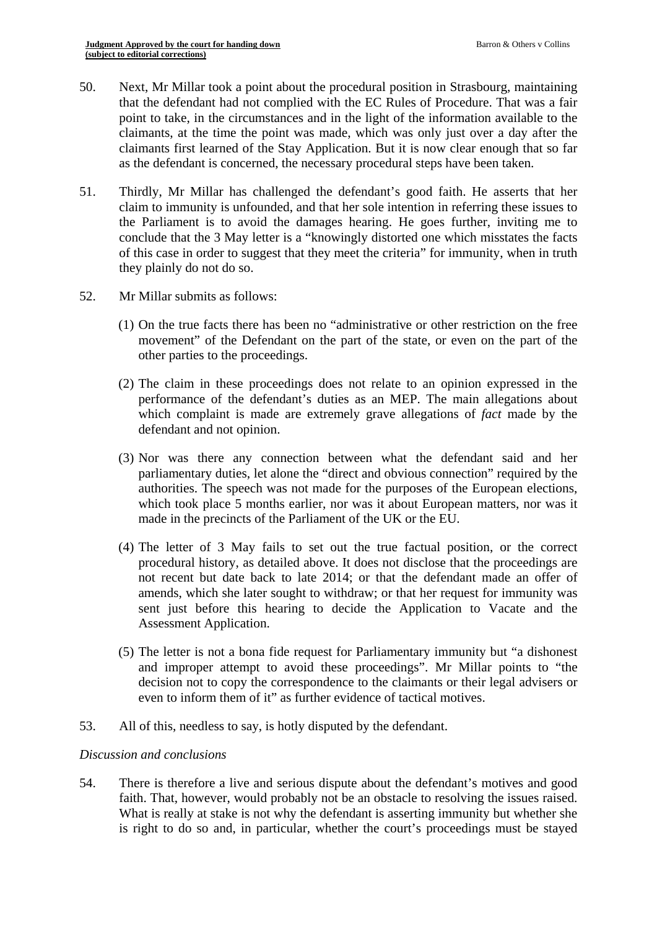- 50. Next, Mr Millar took a point about the procedural position in Strasbourg, maintaining that the defendant had not complied with the EC Rules of Procedure. That was a fair point to take, in the circumstances and in the light of the information available to the claimants, at the time the point was made, which was only just over a day after the claimants first learned of the Stay Application. But it is now clear enough that so far as the defendant is concerned, the necessary procedural steps have been taken.
- 51. Thirdly, Mr Millar has challenged the defendant's good faith. He asserts that her claim to immunity is unfounded, and that her sole intention in referring these issues to the Parliament is to avoid the damages hearing. He goes further, inviting me to conclude that the 3 May letter is a "knowingly distorted one which misstates the facts of this case in order to suggest that they meet the criteria" for immunity, when in truth they plainly do not do so.
- 52. Mr Millar submits as follows:
	- (1) On the true facts there has been no "administrative or other restriction on the free movement" of the Defendant on the part of the state, or even on the part of the other parties to the proceedings.
	- (2) The claim in these proceedings does not relate to an opinion expressed in the performance of the defendant's duties as an MEP. The main allegations about which complaint is made are extremely grave allegations of *fact* made by the defendant and not opinion.
	- (3) Nor was there any connection between what the defendant said and her parliamentary duties, let alone the "direct and obvious connection" required by the authorities. The speech was not made for the purposes of the European elections, which took place 5 months earlier, nor was it about European matters, nor was it made in the precincts of the Parliament of the UK or the EU.
	- (4) The letter of 3 May fails to set out the true factual position, or the correct procedural history, as detailed above. It does not disclose that the proceedings are not recent but date back to late 2014; or that the defendant made an offer of amends, which she later sought to withdraw; or that her request for immunity was sent just before this hearing to decide the Application to Vacate and the Assessment Application.
	- (5) The letter is not a bona fide request for Parliamentary immunity but "a dishonest and improper attempt to avoid these proceedings". Mr Millar points to "the decision not to copy the correspondence to the claimants or their legal advisers or even to inform them of it" as further evidence of tactical motives.
- 53. All of this, needless to say, is hotly disputed by the defendant.

#### *Discussion and conclusions*

faith. That, however, would probably not be an obstacle to resolving the issues raised. 54. There is therefore a live and serious dispute about the defendant's motives and good What is really at stake is not why the defendant is asserting immunity but whether she is right to do so and, in particular, whether the court's proceedings must be stayed